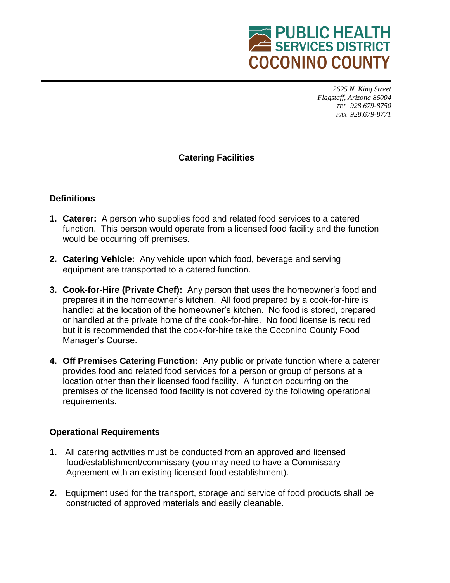

*2625 N. King Street Flagstaff, Arizona 86004 TEL 928.679-8750 FAX 928.679-8771*

## **Catering Facilities**

## **Definitions**

- **1. Caterer:** A person who supplies food and related food services to a catered function. This person would operate from a licensed food facility and the function would be occurring off premises.
- **2. Catering Vehicle:** Any vehicle upon which food, beverage and serving equipment are transported to a catered function.
- **3. Cook-for-Hire (Private Chef):** Any person that uses the homeowner's food and prepares it in the homeowner's kitchen. All food prepared by a cook-for-hire is handled at the location of the homeowner's kitchen. No food is stored, prepared or handled at the private home of the cook-for-hire. No food license is required but it is recommended that the cook-for-hire take the Coconino County Food Manager's Course.
- **4. Off Premises Catering Function:** Any public or private function where a caterer provides food and related food services for a person or group of persons at a location other than their licensed food facility. A function occurring on the premises of the licensed food facility is not covered by the following operational requirements.

## **Operational Requirements**

- **1.** All catering activities must be conducted from an approved and licensed food/establishment/commissary (you may need to have a Commissary Agreement with an existing licensed food establishment).
- **2.** Equipment used for the transport, storage and service of food products shall be constructed of approved materials and easily cleanable.